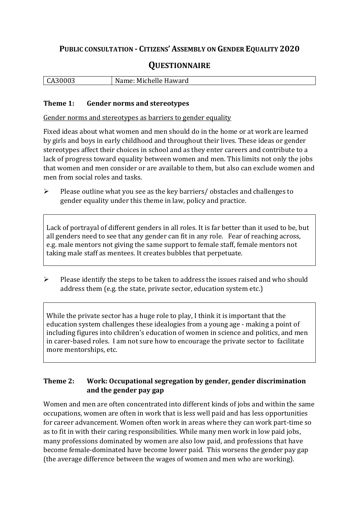## **PUBLIC CONSULTATION - CITIZENS' ASSEMBLY ON GENDER EQUALITY 2020**

# **QUESTIONNAIRE**

| .<br>. .<br>ฉมงบบว | Name:<br>ame: Michelle Haward |
|--------------------|-------------------------------|
|                    |                               |

#### **Theme 1: Gender norms and stereotypes**

Gender norms and stereotypes as barriers to gender equality

Fixed ideas about what women and men should do in the home or at work are learned by girls and boys in early childhood and throughout their lives. These ideas or gender stereotypes affect their choices in school and as they enter careers and contribute to a lack of progress toward equality between women and men. This limits not only the jobs that women and men consider or are available to them, but also can exclude women and men from social roles and tasks.

➢ Please outline what you see as the key barriers/ obstacles and challenges to gender equality under this theme in law, policy and practice.

Lack of portrayal of different genders in all roles. It is far better than it used to be, but all genders need to see that any gender can fit in any role. Fear of reaching across, e.g. male mentors not giving the same support to female staff, female mentors not taking male staff as mentees. It creates bubbles that perpetuate.

 $\triangleright$  Please identify the steps to be taken to address the issues raised and who should address them (e.g. the state, private sector, education system etc.)

While the private sector has a huge role to play, I think it is important that the education system challenges these idealogies from a young age - making a point of including figures into children's education of women in science and politics, and men in carer-based roles. I am not sure how to encourage the private sector to facilitate more mentorships, etc.

## **Theme 2: Work: Occupational segregation by gender, gender discrimination and the gender pay gap**

Women and men are often concentrated into different kinds of jobs and within the same occupations, women are often in work that is less well paid and has less opportunities for career advancement. Women often work in areas where they can work part-time so as to fit in with their caring responsibilities. While many men work in low paid jobs, many professions dominated by women are also low paid, and professions that have become female-dominated have become lower paid. This worsens the gender pay gap (the average difference between the wages of women and men who are working).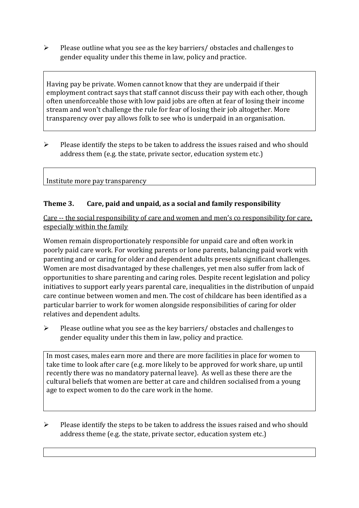➢ Please outline what you see as the key barriers/ obstacles and challenges to gender equality under this theme in law, policy and practice.

Having pay be private. Women cannot know that they are underpaid if their employment contract says that staff cannot discuss their pay with each other, though often unenforceable those with low paid jobs are often at fear of losing their income stream and won't challenge the rule for fear of losing their job altogether. More transparency over pay allows folk to see who is underpaid in an organisation.

➢ Please identify the steps to be taken to address the issues raised and who should address them (e.g. the state, private sector, education system etc.)

#### Institute more pay transparency

## **Theme 3. Care, paid and unpaid, as a social and family responsibility**

Care -- the social responsibility of care and women and men's co responsibility for care, especially within the family

Women remain disproportionately responsible for unpaid care and often work in poorly paid care work. For working parents or [lone parents,](https://aran.library.nuigalway.ie/bitstream/handle/10379/6044/Millar_and_Crosse_Activation_Report.pdf?sequence=1&isAllowed=y) balancing paid work with parenting and or caring for older and dependent adults presents significant challenges. Women are [most disadvantaged by these challenges,](https://eige.europa.eu/gender-equality-index/game/IE/W) yet men also suffer from lack of opportunities to share parenting and caring roles. Despite recent legislation and policy initiatives to support early years parental care, [inequalities in the distribution of unpaid](https://www.ihrec.ie/app/uploads/2019/07/Caring-and-Unpaid-Work-in-Ireland_Final.pdf)  [care](https://www.ihrec.ie/app/uploads/2019/07/Caring-and-Unpaid-Work-in-Ireland_Final.pdf) continue between women and men. The cost of childcare has been identified as a particular barrier to work for women alongside responsibilities of caring for older relatives and dependent adults.

➢ Please outline what you see as the key barriers/ obstacles and challenges to gender equality under this them in law, policy and practice.

In most cases, males earn more and there are more facilities in place for women to take time to look after care (e.g. more likely to be approved for work share, up until recently there was no mandatory paternal leave). As well as these there are the cultural beliefs that women are better at care and children socialised from a young age to expect women to do the care work in the home.

➢ Please identify the steps to be taken to address the issues raised and who should address theme (e.g. the state, private sector, education system etc.)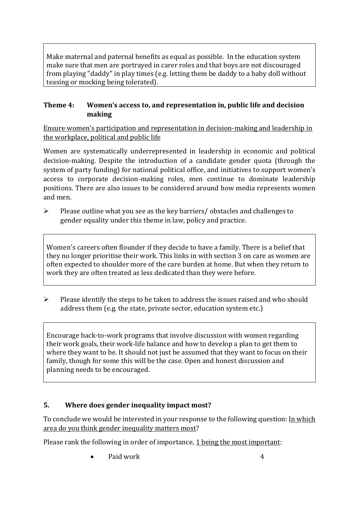Make maternal and paternal benefits as equal as possible. In the education system make sure that men are portrayed in carer roles and that boys are not discouraged from playing "daddy" in play times (e.g. letting them be daddy to a baby doll without teasing or mocking being tolerated).

## **Theme 4: Women's access to, and representation in, public life and decision making**

Ensure women's participation and representation in decision-making and leadership in the workplace, political and public life

Women are systematically underrepresented in leadership in [economic](https://eige.europa.eu/gender-equality-index/2019/compare-countries/power/2/bar) and [political](https://eige.europa.eu/gender-equality-index/2019/compare-countries/power/1/bar)  [decision-](https://eige.europa.eu/gender-equality-index/2019/compare-countries/power/1/bar)making. Despite the introduction of a candidate gender quota (through the system of party funding) for national political office, and [initiatives](https://betterbalance.ie/) to support women's access to corporate decision-making roles, men continue to dominate leadership positions. There are also issues to be considered around how media represents women and men.

➢ Please outline what you see as the key barriers/ obstacles and challenges to gender equality under this theme in law, policy and practice.

Women's careers often flounder if they decide to have a family. There is a belief that they no longer prioritise their work. This links in with section 3 on care as women are often expected to shoulder more of the care burden at home. But when they return to work they are often treated as less dedicated than they were before.

➢ Please identify the steps to be taken to address the issues raised and who should address them (e.g. the state, private sector, education system etc.)

Encourage back-to-work programs that involve discussion with women regarding their work goals, their work-life balance and how to develop a plan to get them to where they want to be. It should not just be assumed that they want to focus on their family, though for some this will be the case. Open and honest discussion and planning needs to be encouraged.

## **5. Where does gender inequality impact most?**

To conclude we would be interested in your response to the following question: In which area do you think gender inequality matters most?

Please rank the following in order of importance, 1 being the most important: